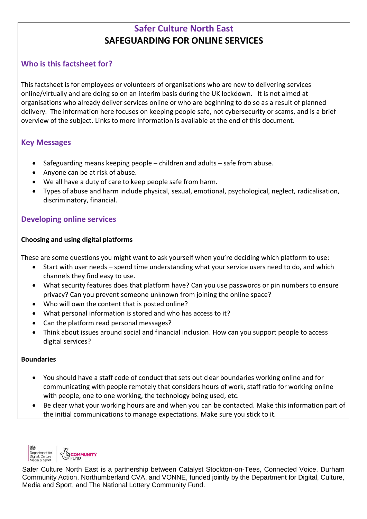# **Safer Culture North East SAFEGUARDING FOR ONLINE SERVICES**

# **Who is this factsheet for?**

This factsheet is for employees or volunteers of organisations who are new to delivering services online/virtually and are doing so on an interim basis during the UK lockdown. It is not aimed at organisations who already deliver services online or who are beginning to do so as a result of planned delivery. The information here focuses on keeping people safe, not cybersecurity or scams, and is a brief overview of the subject. Links to more information is available at the end of this document.

## **Key Messages**

- Safeguarding means keeping people children and adults safe from abuse.
- Anyone can be at risk of abuse.
- We all have a duty of care to keep people safe from harm.
- Types of abuse and harm include physical, sexual, emotional, psychological, neglect, radicalisation, discriminatory, financial.

## **Developing online services**

### **Choosing and using digital platforms**

These are some questions you might want to ask yourself when you're deciding which platform to use:

- Start with user needs spend time understanding what your service users need to do, and which channels they find easy to use.
- What security features does that platform have? Can you use passwords or pin numbers to ensure privacy? Can you prevent someone unknown from joining the online space?
- Who will own the content that is posted online?
- What personal information is stored and who has access to it?
- Can the platform read personal messages?
- Think about issues around social and financial inclusion. How can you support people to access digital services?

#### **Boundaries**

- You should have a staff code of conduct that sets out clear boundaries working online and for communicating with people remotely that considers hours of work, staff ratio for working online with people, one to one working, the technology being used, etc.
- Be clear what your working hours are and when you can be contacted. Make this information part of the initial communications to manage expectations. Make sure you stick to it.



Safer Culture North East is a partnership between Catalyst Stockton-on-Tees, Connected Voice, Durham Community Action, Northumberland CVA, and VONNE, funded jointly by the Department for Digital, Culture, Media and Sport, and The National Lottery Community Fund.